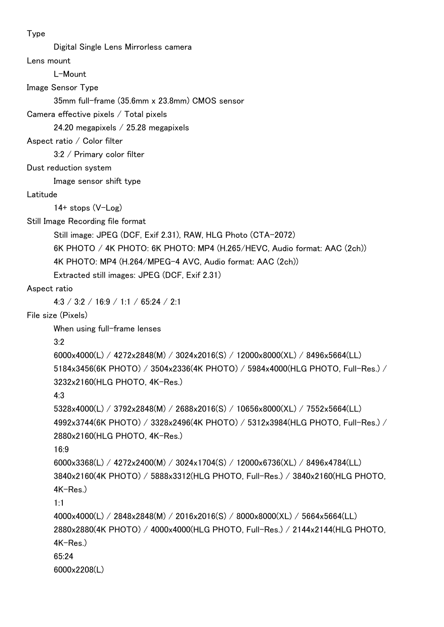## Type

Digital Single Lens Mirrorless camera

Lens mount

L-Mount

Image Sensor Type

35mm full-frame (35.6mm x 23.8mm) CMOS sensor

Camera effective pixels / Total pixels

24.20 megapixels / 25.28 megapixels

Aspect ratio / Color filter

3:2 / Primary color filter

Dust reduction system

Image sensor shift type

Latitude

14+ stops (V-Log)

Still Image Recording file format

Still image: JPEG (DCF, Exif 2.31), RAW, HLG Photo (CTA-2072)

6K PHOTO / 4K PHOTO: 6K PHOTO: MP4 (H.265/HEVC, Audio format: AAC (2ch))

4K PHOTO: MP4 (H.264/MPEG-4 AVC, Audio format: AAC (2ch))

Extracted still images: JPEG (DCF, Exif 2.31)

## Aspect ratio

4:3 / 3:2 / 16:9 / 1:1 / 65:24 / 2:1

File size (Pixels)

When using full-frame lenses

3:2

```
6000x4000(L) / 4272x2848(M) / 3024x2016(S) / 12000x8000(XL) / 8496x5664(LL)
5184x3456(6K PHOTO) / 3504x2336(4K PHOTO) / 5984x4000(HLG PHOTO, Full-Res.) / 
3232x2160(HLG PHOTO, 4K-Res.)
```
4:3

```
5328x4000(L) / 3792x2848(M) / 2688x2016(S) / 10656x8000(XL) / 7552x5664(LL) 
4992x3744(6K PHOTO) / 3328x2496(4K PHOTO) / 5312x3984(HLG PHOTO, Full-Res.) / 
2880x2160(HLG PHOTO, 4K-Res.)
```
16:9

```
6000x3368(L) / 4272x2400(M) / 3024x1704(S) / 12000x6736(XL) / 8496x4784(LL)
3840x2160(4K PHOTO) / 5888x3312(HLG PHOTO, Full-Res.) / 3840x2160(HLG PHOTO, 
4K-Res.)
```
1:1

```
4000x4000(L) / 2848x2848(M) / 2016x2016(S) / 8000x8000(XL) / 5664x5664(LL)
2880x2880(4K PHOTO) / 4000x4000(HLG PHOTO, Full-Res.) / 2144x2144(HLG PHOTO, 
4K-Res.)
65:24
6000x2208(L)
```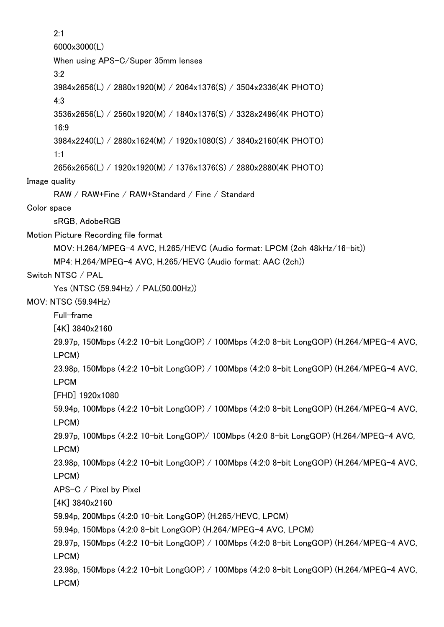2:1 6000x3000(L) When using APS-C/Super 35mm lenses 3:2 3984x2656(L) / 2880x1920(M) / 2064x1376(S) / 3504x2336(4K PHOTO) 4:3 3536x2656(L) / 2560x1920(M) / 1840x1376(S) / 3328x2496(4K PHOTO) 16:9 3984x2240(L) / 2880x1624(M) / 1920x1080(S) / 3840x2160(4K PHOTO) 1:1 2656x2656(L) / 1920x1920(M) / 1376x1376(S) / 2880x2880(4K PHOTO) Image quality RAW / RAW+Fine / RAW+Standard / Fine / Standard Color space sRGB, AdobeRGB Motion Picture Recording file format MOV: H.264/MPEG-4 AVC, H.265/HEVC (Audio format: LPCM (2ch 48kHz/16-bit)) MP4: H.264/MPEG-4 AVC, H.265/HEVC (Audio format: AAC (2ch)) Switch NTSC / PAL Yes (NTSC (59.94Hz) / PAL(50.00Hz)) MOV: NTSC (59.94Hz) Full-frame [4K] 3840x2160 29.97p, 150Mbps (4:2:2 10-bit LongGOP) / 100Mbps (4:2:0 8-bit LongGOP) (H.264/MPEG-4 AVC, LPCM) 23.98p, 150Mbps (4:2:2 10-bit LongGOP) / 100Mbps (4:2:0 8-bit LongGOP) (H.264/MPEG-4 AVC, LPCM [FHD] 1920x1080 59.94p, 100Mbps (4:2:2 10-bit LongGOP) / 100Mbps (4:2:0 8-bit LongGOP) (H.264/MPEG-4 AVC, LPCM) 29.97p, 100Mbps (4:2:2 10-bit LongGOP)/ 100Mbps (4:2:0 8-bit LongGOP) (H.264/MPEG-4 AVC, LPCM) 23.98p, 100Mbps (4:2:2 10-bit LongGOP) / 100Mbps (4:2:0 8-bit LongGOP) (H.264/MPEG-4 AVC, LPCM) APS-C / Pixel by Pixel [4K] 3840x2160 59.94p, 200Mbps (4:2:0 10-bit LongGOP) (H.265/HEVC, LPCM) 59.94p, 150Mbps (4:2:0 8-bit LongGOP) (H.264/MPEG-4 AVC, LPCM) 29.97p, 150Mbps (4:2:2 10-bit LongGOP) / 100Mbps (4:2:0 8-bit LongGOP) (H.264/MPEG-4 AVC, LPCM) 23.98p, 150Mbps (4:2:2 10-bit LongGOP) / 100Mbps (4:2:0 8-bit LongGOP) (H.264/MPEG-4 AVC, LPCM)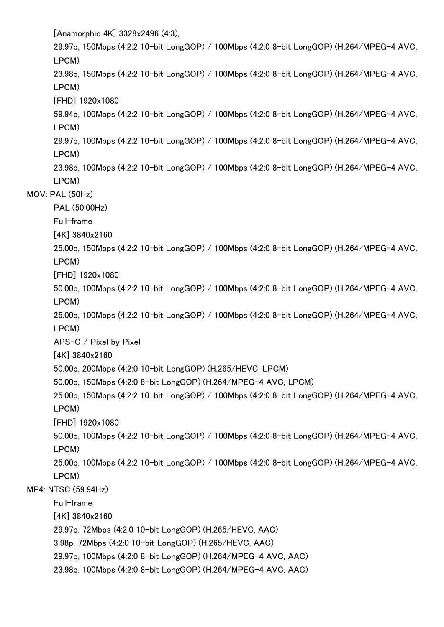[Anamorphic 4K] 3328x2496 (4:3), 29.97p, 150Mbps (4:2:2 10-bit LongGOP) / 100Mbps (4:2:0 8-bit LongGOP) (H.264/MPEG-4 AVC, LPCM) 23.98p, 150Mbps (4:2:2 10-bit LongGOP) / 100Mbps (4:2:0 8-bit LongGOP) (H.264/MPEG-4 AVC, LPCM) [FHD] 1920x1080 59.94p, 100Mbps (4:2:2 10-bit LongGOP) / 100Mbps (4:2:0 8-bit LongGOP) (H.264/MPEG-4 AVC, LPCM) 29.97p, 100Mbps (4:2:2 10-bit LongGOP) / 100Mbps (4:2:0 8-bit LongGOP) (H.264/MPEG-4 AVC, LPCM) 23.98p, 100Mbps (4:2:2 10-bit LongGOP) / 100Mbps (4:2:0 8-bit LongGOP) (H.264/MPEG-4 AVC, LPCM) MOV: PAL (50Hz) PAL (50.00Hz) Full-frame [4K] 3840x2160 25.00p, 150Mbps (4:2:2 10-bit LongGOP) / 100Mbps (4:2:0 8-bit LongGOP) (H.264/MPEG-4 AVC, LPCM) [FHD] 1920x1080 50.00p, 100Mbps (4:2:2 10-bit LongGOP) / 100Mbps (4:2:0 8-bit LongGOP) (H.264/MPEG-4 AVC, LPCM) 25.00p, 100Mbps (4:2:2 10-bit LongGOP) / 100Mbps (4:2:0 8-bit LongGOP) (H.264/MPEG-4 AVC, LPCM) APS-C / Pixel by Pixel [4K] 3840x2160 50.00p, 200Mbps (4:2:0 10-bit LongGOP) (H.265/HEVC, LPCM) 50.00p, 150Mbps (4:2:0 8-bit LongGOP) (H.264/MPEG-4 AVC, LPCM) 25.00p, 150Mbps (4:2:2 10-bit LongGOP) / 100Mbps (4:2:0 8-bit LongGOP) (H.264/MPEG-4 AVC, LPCM) [FHD] 1920x1080 50.00p, 100Mbps (4:2:2 10-bit LongGOP) / 100Mbps (4:2:0 8-bit LongGOP) (H.264/MPEG-4 AVC, LPCM) 25.00p, 100Mbps (4:2:2 10-bit LongGOP) / 100Mbps (4:2:0 8-bit LongGOP) (H.264/MPEG-4 AVC, LPCM) MP4: NTSC (59.94Hz) Full-frame [4K] 3840x2160 29.97p, 72Mbps (4:2:0 10-bit LongGOP) (H.265/HEVC, AAC) 3.98p, 72Mbps (4:2:0 10-bit LongGOP) (H.265/HEVC, AAC) 29.97p, 100Mbps (4:2:0 8-bit LongGOP) (H.264/MPEG-4 AVC, AAC) 23.98p, 100Mbps (4:2:0 8-bit LongGOP) (H.264/MPEG-4 AVC, AAC)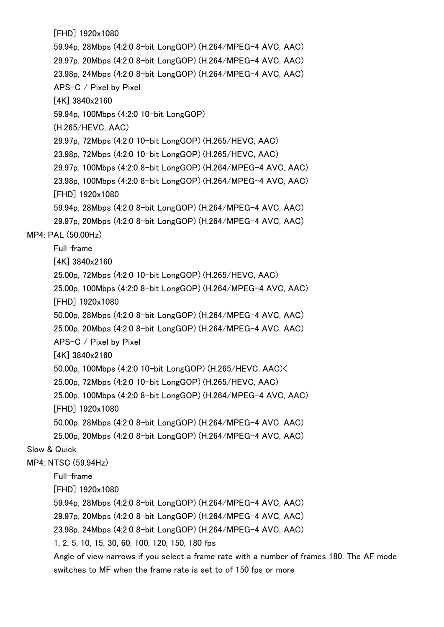[FHD] 1920x1080 59.94p, 28Mbps (4:2:0 8-bit LongGOP) (H.264/MPEG-4 AVC, AAC) 29.97p, 20Mbps (4:2:0 8-bit LongGOP) (H.264/MPEG-4 AVC, AAC) 23.98p, 24Mbps (4:2:0 8-bit LongGOP) (H.264/MPEG-4 AVC, AAC) APS-C / Pixel by Pixel [4K] 3840x2160 59.94p, 100Mbps (4:2:0 10-bit LongGOP) (H.265/HEVC, AAC) 29.97p, 72Mbps (4:2:0 10-bit LongGOP) (H.265/HEVC, AAC) 23.98p, 72Mbps (4:2:0 10-bit LongGOP) (H.265/HEVC, AAC) 29.97p, 100Mbps (4:2:0 8-bit LongGOP) (H.264/MPEG-4 AVC, AAC) 23.98p, 100Mbps (4:2:0 8-bit LongGOP) (H.264/MPEG-4 AVC, AAC) [FHD] 1920x1080 59.94p, 28Mbps (4:2:0 8-bit LongGOP) (H.264/MPEG-4 AVC, AAC) 29.97p, 20Mbps (4:2:0 8-bit LongGOP) (H.264/MPEG-4 AVC, AAC) MP4: PAL (50.00Hz) Full-frame [4K] 3840x2160 25.00p, 72Mbps (4:2:0 10-bit LongGOP) (H.265/HEVC, AAC) 25.00p, 100Mbps (4:2:0 8-bit LongGOP) (H.264/MPEG-4 AVC, AAC) [FHD] 1920x1080 50.00p, 28Mbps (4:2:0 8-bit LongGOP) (H.264/MPEG-4 AVC, AAC) 25.00p, 20Mbps (4:2:0 8-bit LongGOP) (H.264/MPEG-4 AVC, AAC) APS-C / Pixel by Pixel [4K] 3840x2160 50.00p, 100Mbps (4:2:0 10-bit LongGOP) (H.265/HEVC, AAC)< 25.00p, 72Mbps (4:2:0 10-bit LongGOP) (H.265/HEVC, AAC) 25.00p, 100Mbps (4:2:0 8-bit LongGOP) (H.264/MPEG-4 AVC, AAC) [FHD] 1920x1080 50.00p, 28Mbps (4:2:0 8-bit LongGOP) (H.264/MPEG-4 AVC, AAC) 25.00p, 20Mbps (4:2:0 8-bit LongGOP) (H.264/MPEG-4 AVC, AAC) Slow & Quick MP4: NTSC (59.94Hz) Full-frame [FHD] 1920x1080 59.94p, 28Mbps (4:2:0 8-bit LongGOP) (H.264/MPEG-4 AVC, AAC) 29.97p, 20Mbps (4:2:0 8-bit LongGOP) (H.264/MPEG-4 AVC, AAC) 23.98p, 24Mbps (4:2:0 8-bit LongGOP) (H.264/MPEG-4 AVC, AAC) 1, 2, 5, 10, 15, 30, 60, 100, 120, 150, 180 fps

Angle of view narrows if you select a frame rate with a number of frames 180. The AF mode switches to MF when the frame rate is set to of 150 fps or more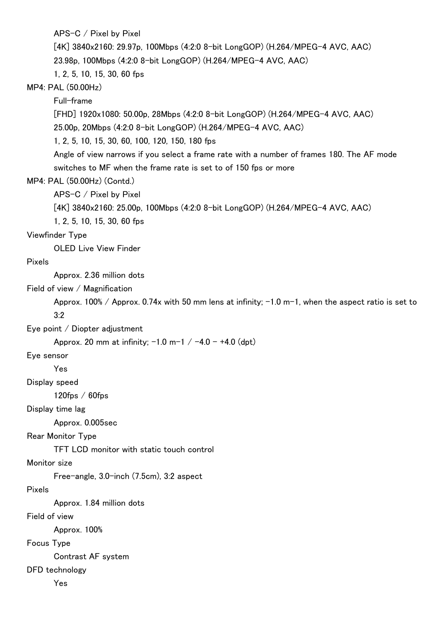APS-C / Pixel by Pixel [4K] 3840x2160: 29.97p, 100Mbps (4:2:0 8-bit LongGOP) (H.264/MPEG-4 AVC, AAC) 23.98p, 100Mbps (4:2:0 8-bit LongGOP) (H.264/MPEG-4 AVC, AAC) 1, 2, 5, 10, 15, 30, 60 fps MP4: PAL (50.00Hz) Full-frame [FHD] 1920x1080: 50.00p, 28Mbps (4:2:0 8-bit LongGOP) (H.264/MPEG-4 AVC, AAC) 25.00p, 20Mbps (4:2:0 8-bit LongGOP) (H.264/MPEG-4 AVC, AAC) 1, 2, 5, 10, 15, 30, 60, 100, 120, 150, 180 fps Angle of view narrows if you select a frame rate with a number of frames 180. The AF mode switches to MF when the frame rate is set to of 150 fps or more MP4: PAL (50.00Hz) (Contd.) APS-C / Pixel by Pixel [4K] 3840x2160: 25.00p, 100Mbps (4:2:0 8-bit LongGOP) (H.264/MPEG-4 AVC, AAC) 1, 2, 5, 10, 15, 30, 60 fps Viewfinder Type OLED Live View Finder Pixels Approx. 2.36 million dots Field of view / Magnification Approx. 100% / Approx. 0.74x with 50 mm lens at infinity;  $-1.0$  m $-1$ , when the aspect ratio is set to 3:2 Eye point / Diopter adjustment Approx. 20 mm at infinity;  $-1.0$  m $-1$  /  $-4.0$   $+4.0$  (dpt) Eye sensor Yes Display speed 120fps / 60fps Display time lag Approx. 0.005sec Rear Monitor Type TFT LCD monitor with static touch control Monitor size Free-angle, 3.0-inch (7.5cm), 3:2 aspect Pixels Approx. 1.84 million dots Field of view Approx. 100% Focus Type Contrast AF system DFD technology Yes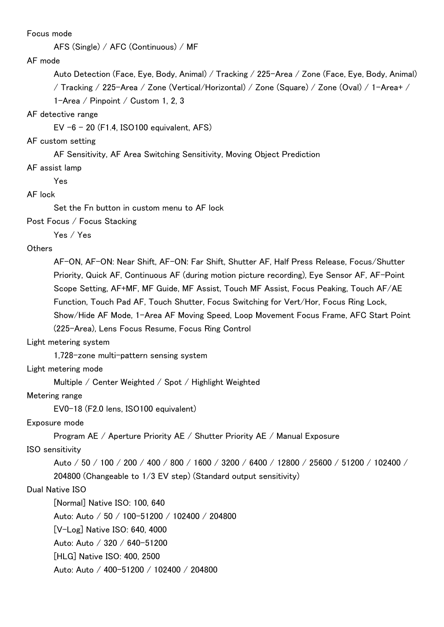Focus mode

AFS (Single) / AFC (Continuous) / MF

## AF mode

Auto Detection (Face, Eye, Body, Animal) / Tracking / 225-Area / Zone (Face, Eye, Body, Animal) / Tracking / 225-Area / Zone (Vertical/Horizontal) / Zone (Square) / Zone (Oval) / 1-Area+ / 1-Area / Pinpoint / Custom 1, 2, 3

AF detective range

EV  $-6 - 20$  (F1.4, ISO100 equivalent, AFS)

### AF custom setting

AF Sensitivity, AF Area Switching Sensitivity, Moving Object Prediction

### AF assist lamp

Yes

## AF lock

Set the Fn button in custom menu to AF lock

Post Focus / Focus Stacking

Yes / Yes

## **Others**

AF-ON, AF-ON: Near Shift, AF-ON: Far Shift, Shutter AF, Half Press Release, Focus/Shutter Priority, Quick AF, Continuous AF (during motion picture recording), Eye Sensor AF, AF-Point Scope Setting, AF+MF, MF Guide, MF Assist, Touch MF Assist, Focus Peaking, Touch AF/AE Function, Touch Pad AF, Touch Shutter, Focus Switching for Vert/Hor, Focus Ring Lock, Show/Hide AF Mode, 1-Area AF Moving Speed, Loop Movement Focus Frame, AFC Start Point (225-Area), Lens Focus Resume, Focus Ring Control

# Light metering system

1,728-zone multi-pattern sensing system

Light metering mode

Multiple / Center Weighted / Spot / Highlight Weighted

Metering range

EV0-18 (F2.0 lens, ISO100 equivalent)

Exposure mode

Program AE / Aperture Priority AE / Shutter Priority AE / Manual Exposure

ISO sensitivity

Auto / 50 / 100 / 200 / 400 / 800 / 1600 / 3200 / 6400 / 12800 / 25600 / 51200 / 102400 / 204800 (Changeable to 1/3 EV step) (Standard output sensitivity)

Dual Native ISO

[Normal] Native ISO: 100, 640

Auto: Auto / 50 / 100-51200 / 102400 / 204800

[V-Log] Native ISO: 640, 4000

Auto: Auto / 320 / 640-51200

[HLG] Native ISO: 400, 2500

Auto: Auto / 400-51200 / 102400 / 204800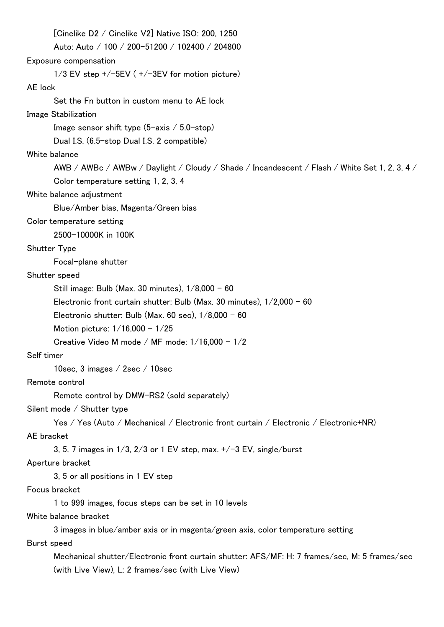[Cinelike D2 / Cinelike V2] Native ISO: 200, 1250 Auto: Auto / 100 / 200-51200 / 102400 / 204800 Exposure compensation  $1/3$  EV step  $+/-5$ EV ( $+/-3$ EV for motion picture) AE lock Set the Fn button in custom menu to AE lock Image Stabilization Image sensor shift type  $(5-axis / 5.0 - stop)$ Dual I.S. (6.5-stop Dual I.S. 2 compatible) White balance AWB / AWBc / AWBw / Daylight / Cloudy / Shade / Incandescent / Flash / White Set 1, 2, 3, 4 / Color temperature setting 1, 2, 3, 4 White balance adjustment Blue/Amber bias, Magenta/Green bias Color temperature setting 2500-10000K in 100K Shutter Type Focal-plane shutter Shutter speed Still image: Bulb (Max. 30 minutes),  $1/8,000 - 60$ Electronic front curtain shutter: Bulb (Max. 30 minutes), 1/2,000 - 60 Electronic shutter: Bulb (Max. 60 sec),  $1/8,000 - 60$ Motion picture:  $1/16.000 - 1/25$ Creative Video M mode / MF mode:  $1/16,000 - 1/2$ Self timer 10sec, 3 images / 2sec / 10sec Remote control Remote control by DMW-RS2 (sold separately) Silent mode / Shutter type Yes / Yes (Auto / Mechanical / Electronic front curtain / Electronic / Electronic+NR) AE bracket 3, 5, 7 images in  $1/3$ ,  $2/3$  or 1 EV step, max.  $+/-3$  EV, single/burst Aperture bracket 3, 5 or all positions in 1 EV step Focus bracket 1 to 999 images, focus steps can be set in 10 levels White balance bracket 3 images in blue/amber axis or in magenta/green axis, color temperature setting Burst speed Mechanical shutter/Electronic front curtain shutter: AFS/MF: H: 7 frames/sec, M: 5 frames/sec (with Live View), L: 2 frames/sec (with Live View)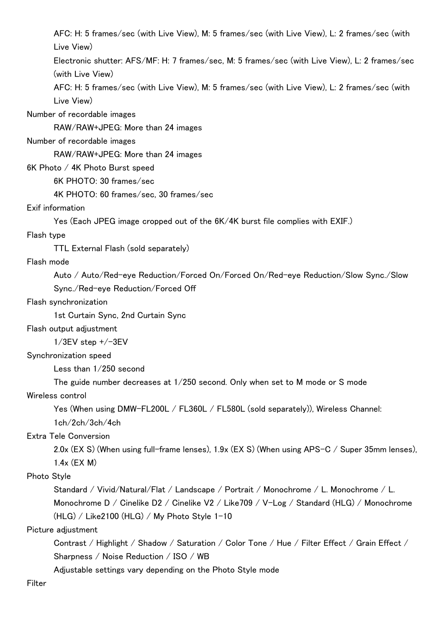AFC: H: 5 frames/sec (with Live View), M: 5 frames/sec (with Live View), L: 2 frames/sec (with Live View) Electronic shutter: AFS/MF: H: 7 frames/sec, M: 5 frames/sec (with Live View), L: 2 frames/sec (with Live View) AFC: H: 5 frames/sec (with Live View), M: 5 frames/sec (with Live View), L: 2 frames/sec (with Live View) Number of recordable images RAW/RAW+JPEG: More than 24 images Number of recordable images RAW/RAW+JPEG: More than 24 images 6K Photo / 4K Photo Burst speed 6K PHOTO: 30 frames/sec 4K PHOTO: 60 frames/sec, 30 frames/sec Exif information Yes (Each JPEG image cropped out of the 6K/4K burst file complies with EXIF.) Flash type TTL External Flash (sold separately) Flash mode Auto / Auto/Red-eye Reduction/Forced On/Forced On/Red-eye Reduction/Slow Sync./Slow Sync./Red-eye Reduction/Forced Off Flash synchronization 1st Curtain Sync, 2nd Curtain Sync Flash output adjustment  $1/3$ EV step  $+/-3$ EV Synchronization speed Less than 1/250 second The guide number decreases at 1/250 second. Only when set to M mode or S mode Wireless control Yes (When using DMW-FL200L / FL360L / FL580L (sold separately)), Wireless Channel: 1ch/2ch/3ch/4ch Extra Tele Conversion 2.0x (EX S) (When using full-frame lenses), 1.9x (EX S) (When using APS-C / Super 35mm lenses), 1.4x (EX M) Photo Style Standard / Vivid/Natural/Flat / Landscape / Portrait / Monochrome / L. Monochrome / L. Monochrome D / Cinelike D2 / Cinelike V2 / Like709 / V-Log / Standard (HLG) / Monochrome (HLG) / Like2100 (HLG) / My Photo Style 1-10 Picture adjustment Contrast / Highlight / Shadow / Saturation / Color Tone / Hue / Filter Effect / Grain Effect / Sharpness / Noise Reduction / ISO / WB Adjustable settings vary depending on the Photo Style mode Filter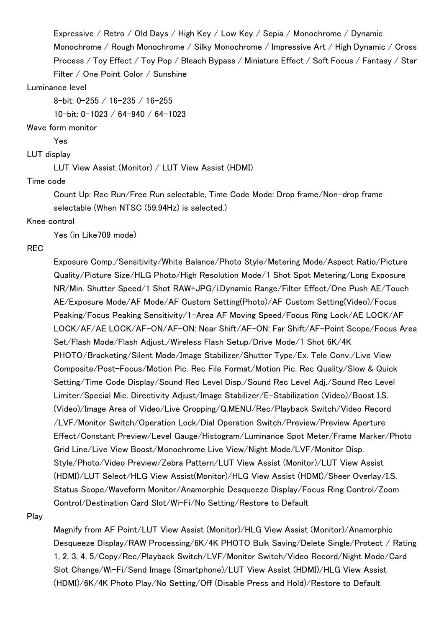Expressive / Retro / Old Days / High Key / Low Key / Sepia / Monochrome / Dynamic Monochrome / Rough Monochrome / Silky Monochrome / Impressive Art / High Dynamic / Cross Process / Toy Effect / Toy Pop / Bleach Bypass / Miniature Effect / Soft Focus / Fantasy / Star Filter / One Point Color / Sunshine

## Luminance level

8-bit: 0-255 / 16-235 / 16-255 10-bit: 0-1023 / 64-940 / 64-1023

#### Wave form monitor

Yes

# LUT display

LUT View Assist (Monitor) / LUT View Assist (HDMI)

#### Time code

Count Up: Rec Run/Free Run selectable, Time Code Mode: Drop frame/Non-drop frame selectable (When NTSC (59.94Hz) is selected.)

#### Knee control

Yes (in Like709 mode)

## REC

Exposure Comp./Sensitivity/White Balance/Photo Style/Metering Mode/Aspect Ratio/Picture Quality/Picture Size/HLG Photo/High Resolution Mode/1 Shot Spot Metering/Long Exposure NR/Min. Shutter Speed/1 Shot RAW+JPG/i.Dynamic Range/Filter Effect/One Push AE/Touch AE/Exposure Mode/AF Mode/AF Custom Setting(Photo)/AF Custom Setting(Video)/Focus Peaking/Focus Peaking Sensitivity/1-Area AF Moving Speed/Focus Ring Lock/AE LOCK/AF LOCK/AF/AE LOCK/AF-ON/AF-ON: Near Shift/AF-ON: Far Shift/AF-Point Scope/Focus Area Set/Flash Mode/Flash Adjust./Wireless Flash Setup/Drive Mode/1 Shot 6K/4K PHOTO/Bracketing/Silent Mode/Image Stabilizer/Shutter Type/Ex. Tele Conv./Live View Composite/Post-Focus/Motion Pic. Rec File Format/Motion Pic. Rec Quality/Slow & Quick Setting/Time Code Display/Sound Rec Level Disp./Sound Rec Level Adj./Sound Rec Level Limiter/Special Mic. Directivity Adjust/Image Stabilizer/E-Stabilization (Video)/Boost I.S. (Video)/Image Area of Video/Live Cropping/Q.MENU/Rec/Playback Switch/Video Record /LVF/Monitor Switch/Operation Lock/Dial Operation Switch/Preview/Preview Aperture Effect/Constant Preview/Level Gauge/Histogram/Luminance Spot Meter/Frame Marker/Photo Grid Line/Live View Boost/Monochrome Live View/Night Mode/LVF/Monitor Disp. Style/Photo/Video Preview/Zebra Pattern/LUT View Assist (Monitor)/LUT View Assist (HDMI)/LUT Select/HLG View Assist(Monitor)/HLG View Assist (HDMI)/Sheer Overlay/I.S. Status Scope/Waveform Monitor/Anamorphic Desqueeze Display/Focus Ring Control/Zoom Control/Destination Card Slot/Wi-Fi/No Setting/Restore to Default

### Play

Magnify from AF Point/LUT View Assist (Monitor)/HLG View Assist (Monitor)/Anamorphic Desqueeze Display/RAW Processing/6K/4K PHOTO Bulk Saving/Delete Single/Protect / Rating 1, 2, 3, 4, 5/Copy/Rec/Playback Switch/LVF/Monitor Switch/Video Record/Night Mode/Card Slot Change/Wi-Fi/Send Image (Smartphone)/LUT View Assist (HDMI)/HLG View Assist (HDMI)/6K/4K Photo Play/No Setting/Off (Disable Press and Hold)/Restore to Default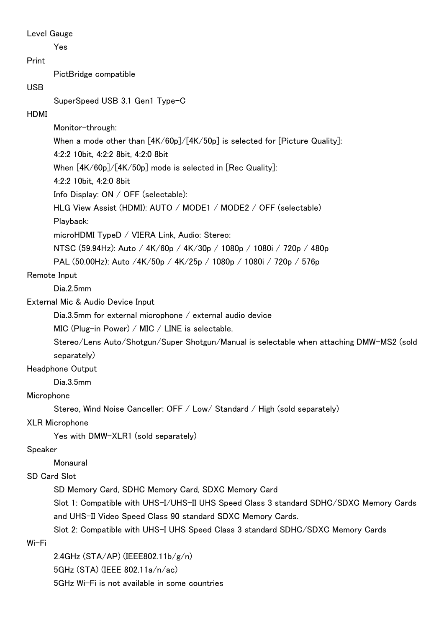## Level Gauge

Yes

## Print

PictBridge compatible

# USB

SuperSpeed USB 3.1 Gen1 Type-C

# HDMI

Monitor-through:

When a mode other than  $[4K/60p]/[4K/50p]$  is selected for [Picture Quality]:

4:2:2 10bit, 4:2:2 8bit, 4:2:0 8bit

When [4K/60p]/[4K/50p] mode is selected in [Rec Quality]:

4:2:2 10bit, 4:2:0 8bit

Info Display: ON / OFF (selectable):

HLG View Assist (HDMI): AUTO / MODE1 / MODE2 / OFF (selectable)

Playback:

microHDMI TypeD / VIERA Link, Audio: Stereo:

NTSC (59.94Hz): Auto / 4K/60p / 4K/30p / 1080p / 1080i / 720p / 480p

PAL (50.00Hz): Auto /4K/50p / 4K/25p / 1080p / 1080i / 720p / 576p

# Remote Input

Dia.2.5mm

External Mic & Audio Device Input

Dia.3.5mm for external microphone / external audio device

MIC (Plug-in Power) / MIC / LINE is selectable.

Stereo/Lens Auto/Shotgun/Super Shotgun/Manual is selectable when attaching DMW-MS2 (sold separately)

# Headphone Output

Dia.3.5mm

# Microphone

Stereo, Wind Noise Canceller: OFF / Low/ Standard / High (sold separately)

# XLR Microphone

Yes with DMW-XLR1 (sold separately)

# Speaker

Monaural

# SD Card Slot

SD Memory Card, SDHC Memory Card, SDXC Memory Card

Slot 1: Compatible with UHS-I/UHS-II UHS Speed Class 3 standard SDHC/SDXC Memory Cards and UHS-II Video Speed Class 90 standard SDXC Memory Cards.

Slot 2: Compatible with UHS-I UHS Speed Class 3 standard SDHC/SDXC Memory Cards

## Wi-Fi

2.4GHz (STA/AP) (IEEE802.11b/g/n) 5GHz (STA) (IEEE 802.11a/n/ac) 5GHz Wi-Fi is not available in some countries